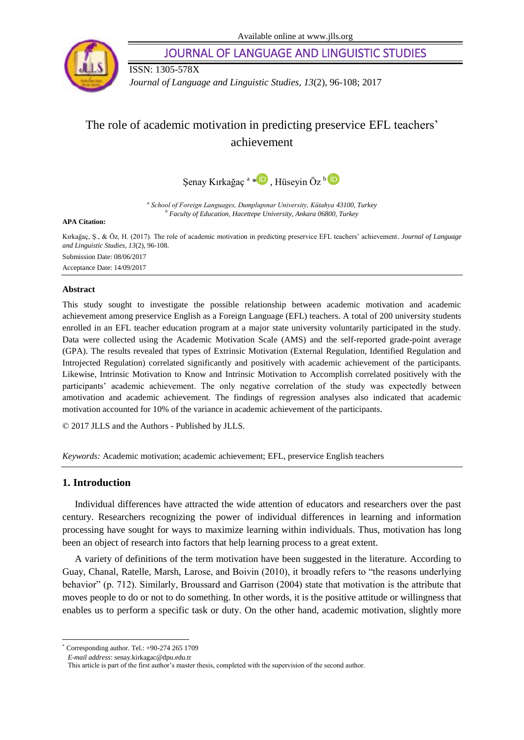

JOURNAL OF LANGUAGE AND LINGUISTIC STUDIES

ISSN: 1305-578X

*Journal of Language and Linguistic Studies, 13*(2), 96-108; 2017

# The role of academic motivation in predicting preservice EFL teachers' achievement



*a School of Foreign Languages, Dumplupınar University, Kütahya 43100, Turkey <sup>b</sup> Faculty of Education, Hacettepe University, Ankara 06800, Turkey*

**APA Citation:**

Kırkağaç, Ş., & Öz, H. (2017). The role of academic motivation in predicting preservice EFL teachers' achievement. *Journal of Language and Linguistic Studies, 13*(2), 96-108. Submission Date: 08/06/2017 Acceptance Date: 14/09/2017

#### **Abstract**

This study sought to investigate the possible relationship between academic motivation and academic achievement among preservice English as a Foreign Language (EFL) teachers. A total of 200 university students enrolled in an EFL teacher education program at a major state university voluntarily participated in the study. Data were collected using the Academic Motivation Scale (AMS) and the self-reported grade-point average (GPA). The results revealed that types of Extrinsic Motivation (External Regulation, Identified Regulation and Introjected Regulation) correlated significantly and positively with academic achievement of the participants. Likewise, Intrinsic Motivation to Know and Intrinsic Motivation to Accomplish correlated positively with the participants' academic achievement. The only negative correlation of the study was expectedly between amotivation and academic achievement. The findings of regression analyses also indicated that academic motivation accounted for 10% of the variance in academic achievement of the participants.

© 2017 JLLS and the Authors - Published by JLLS.

*Keywords:* Academic motivation; academic achievement; EFL, preservice English teachers

### **1. Introduction**

 $\overline{a}$ 

Individual differences have attracted the wide attention of educators and researchers over the past century. Researchers recognizing the power of individual differences in learning and information processing have sought for ways to maximize learning within individuals. Thus, motivation has long been an object of research into factors that help learning process to a great extent.

A variety of definitions of the term motivation have been suggested in the literature. According to Guay, Chanal, Ratelle, Marsh, Larose, and Boivin (2010), it broadly refers to "the reasons underlying behavior" (p. 712). Similarly, Broussard and Garrison (2004) state that motivation is the attribute that moves people to do or not to do something. In other words, it is the positive attitude or willingness that enables us to perform a specific task or duty. On the other hand, academic motivation, slightly more

<sup>\*</sup> Corresponding author. Tel.: +90-274 265 1709

*E-mail address*[: senay.kirkagac@dpu.edu.tr](mailto:senay.kirkagac@dpu.edu.tr)

This article is part of the first author's master thesis, completed with the supervision of the second author.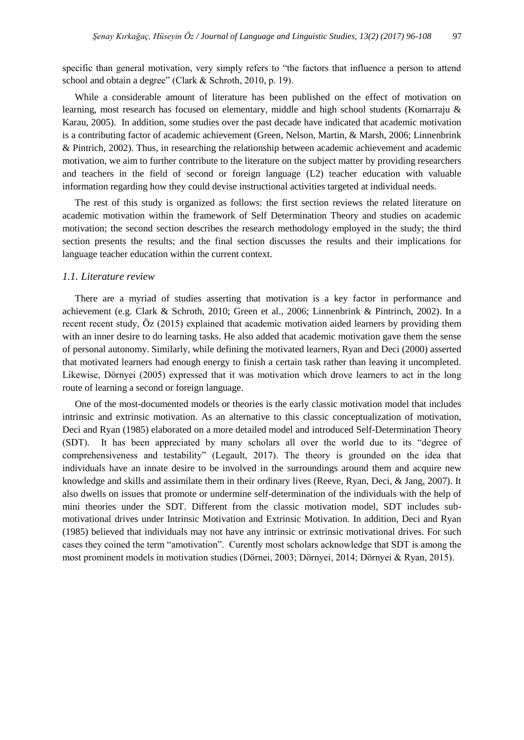specific than general motivation, very simply refers to "the factors that influence a person to attend school and obtain a degree" (Clark & Schroth, 2010, p. 19).

While a considerable amount of literature has been published on the effect of motivation on learning, most research has focused on elementary, middle and high school students (Komarraju & Karau, 2005). In addition, some studies over the past decade have indicated that academic motivation is a contributing factor of academic achievement (Green, Nelson, Martin, & Marsh, 2006; Linnenbrink & Pintrich, 2002). Thus, in researching the relationship between academic achievement and academic motivation, we aim to further contribute to the literature on the subject matter by providing researchers and teachers in the field of second or foreign language (L2) teacher education with valuable information regarding how they could devise instructional activities targeted at individual needs.

The rest of this study is organized as follows: the first section reviews the related literature on academic motivation within the framework of Self Determination Theory and studies on academic motivation; the second section describes the research methodology employed in the study; the third section presents the results; and the final section discusses the results and their implications for language teacher education within the current context.

#### *1.1. Literature review*

There are a myriad of studies asserting that motivation is a key factor in performance and achievement (e.g. Clark & Schroth, 2010; Green et al., 2006; Linnenbrink & Pintrinch, 2002). In a recent recent study, Öz (2015) explained that academic motivation aided learners by providing them with an inner desire to do learning tasks. He also added that academic motivation gave them the sense of personal autonomy. Similarly, while defining the motivated learners, Ryan and Deci (2000) asserted that motivated learners had enough energy to finish a certain task rather than leaving it uncompleted. Likewise, Dörnyei (2005) expressed that it was motivation which drove learners to act in the long route of learning a second or foreign language.

One of the most-documented models or theories is the early classic motivation model that includes intrinsic and extrinsic motivation. As an alternative to this classic conceptualization of motivation, Deci and Ryan (1985) elaborated on a more detailed model and introduced Self-Determination Theory (SDT). It has been appreciated by many scholars all over the world due to its "degree of comprehensiveness and testability" (Legault, 2017). The theory is grounded on the idea that individuals have an innate desire to be involved in the surroundings around them and acquire new knowledge and skills and assimilate them in their ordinary lives (Reeve, Ryan, Deci, & Jang, 2007). It also dwells on issues that promote or undermine self-determination of the individuals with the help of mini theories under the SDT. Different from the classic motivation model, SDT includes submotivational drives under Intrinsic Motivation and Extrinsic Motivation. In addition, Deci and Ryan (1985) believed that individuals may not have any intrinsic or extrinsic motivational drives. For such cases they coined the term "amotivation". Curently most scholars acknowledge that SDT is among the most prominent models in motivation studies (Dörnei, 2003; Dörnyei, 2014; Dörnyei & Ryan, 2015).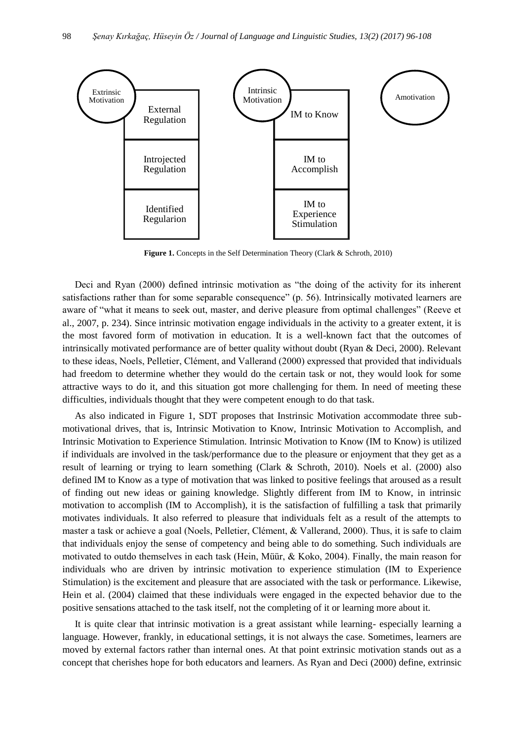

**Figure 1.** Concepts in the Self Determination Theory (Clark & Schroth, 2010)

Deci and Ryan (2000) defined intrinsic motivation as "the doing of the activity for its inherent satisfactions rather than for some separable consequence" (p. 56). Intrinsically motivated learners are aware of "what it means to seek out, master, and derive pleasure from optimal challenges" (Reeve et al., 2007, p. 234). Since intrinsic motivation engage individuals in the activity to a greater extent, it is the most favored form of motivation in education. It is a well-known fact that the outcomes of intrinsically motivated performance are of better quality without doubt (Ryan & Deci, 2000). Relevant to these ideas, Noels, Pelletier, Clément, and Vallerand (2000) expressed that provided that individuals had freedom to determine whether they would do the certain task or not, they would look for some attractive ways to do it, and this situation got more challenging for them. In need of meeting these difficulties, individuals thought that they were competent enough to do that task.

As also indicated in Figure 1, SDT proposes that Instrinsic Motivation accommodate three submotivational drives, that is, Intrinsic Motivation to Know, Intrinsic Motivation to Accomplish, and Intrinsic Motivation to Experience Stimulation. Intrinsic Motivation to Know (IM to Know) is utilized if individuals are involved in the task/performance due to the pleasure or enjoyment that they get as a result of learning or trying to learn something (Clark & Schroth, 2010). Noels et al. (2000) also defined IM to Know as a type of motivation that was linked to positive feelings that aroused as a result of finding out new ideas or gaining knowledge. Slightly different from IM to Know, in intrinsic motivation to accomplish (IM to Accomplish), it is the satisfaction of fulfilling a task that primarily motivates individuals. It also referred to pleasure that individuals felt as a result of the attempts to master a task or achieve a goal (Noels, Pelletier, Clément, & Vallerand, 2000). Thus, it is safe to claim that individuals enjoy the sense of competency and being able to do something. Such individuals are motivated to outdo themselves in each task (Hein, Müür, & Koko, 2004). Finally, the main reason for individuals who are driven by intrinsic motivation to experience stimulation (IM to Experience Stimulation) is the excitement and pleasure that are associated with the task or performance. Likewise, Hein et al. (2004) claimed that these individuals were engaged in the expected behavior due to the positive sensations attached to the task itself, not the completing of it or learning more about it.

It is quite clear that intrinsic motivation is a great assistant while learning- especially learning a language. However, frankly, in educational settings, it is not always the case. Sometimes, learners are moved by external factors rather than internal ones. At that point extrinsic motivation stands out as a concept that cherishes hope for both educators and learners. As Ryan and Deci (2000) define, extrinsic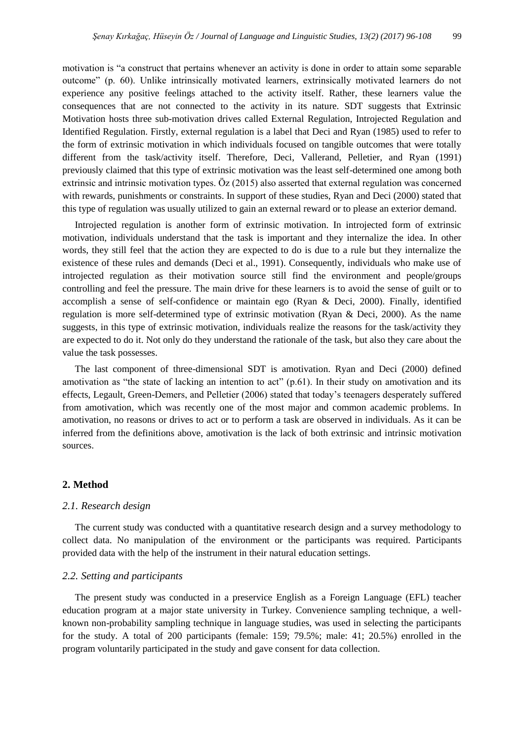motivation is "a construct that pertains whenever an activity is done in order to attain some separable outcome" (p. 60). Unlike intrinsically motivated learners, extrinsically motivated learners do not experience any positive feelings attached to the activity itself. Rather, these learners value the consequences that are not connected to the activity in its nature. SDT suggests that Extrinsic Motivation hosts three sub-motivation drives called External Regulation, Introjected Regulation and Identified Regulation. Firstly, external regulation is a label that Deci and Ryan (1985) used to refer to the form of extrinsic motivation in which individuals focused on tangible outcomes that were totally different from the task/activity itself. Therefore, Deci, Vallerand, Pelletier, and Ryan (1991) previously claimed that this type of extrinsic motivation was the least self-determined one among both extrinsic and intrinsic motivation types. Öz (2015) also asserted that external regulation was concerned with rewards, punishments or constraints. In support of these studies, Ryan and Deci (2000) stated that this type of regulation was usually utilized to gain an external reward or to please an exterior demand.

Introjected regulation is another form of extrinsic motivation. In introjected form of extrinsic motivation, individuals understand that the task is important and they internalize the idea. In other words, they still feel that the action they are expected to do is due to a rule but they internalize the existence of these rules and demands (Deci et al., 1991). Consequently, individuals who make use of introjected regulation as their motivation source still find the environment and people/groups controlling and feel the pressure. The main drive for these learners is to avoid the sense of guilt or to accomplish a sense of self-confidence or maintain ego (Ryan & Deci, 2000). Finally, identified regulation is more self-determined type of extrinsic motivation (Ryan & Deci, 2000). As the name suggests, in this type of extrinsic motivation, individuals realize the reasons for the task/activity they are expected to do it. Not only do they understand the rationale of the task, but also they care about the value the task possesses.

The last component of three-dimensional SDT is amotivation. Ryan and Deci (2000) defined amotivation as "the state of lacking an intention to act" (p.61). In their study on amotivation and its effects, Legault, Green-Demers, and Pelletier (2006) stated that today's teenagers desperately suffered from amotivation, which was recently one of the most major and common academic problems. In amotivation, no reasons or drives to act or to perform a task are observed in individuals. As it can be inferred from the definitions above, amotivation is the lack of both extrinsic and intrinsic motivation sources.

#### **2. Method**

#### *2.1. Research design*

The current study was conducted with a quantitative research design and a survey methodology to collect data. No manipulation of the environment or the participants was required. Participants provided data with the help of the instrument in their natural education settings.

#### *2.2. Setting and participants*

The present study was conducted in a preservice English as a Foreign Language (EFL) teacher education program at a major state university in Turkey. Convenience sampling technique, a wellknown non-probability sampling technique in language studies, was used in selecting the participants for the study. A total of 200 participants (female: 159; 79.5%; male: 41; 20.5%) enrolled in the program voluntarily participated in the study and gave consent for data collection.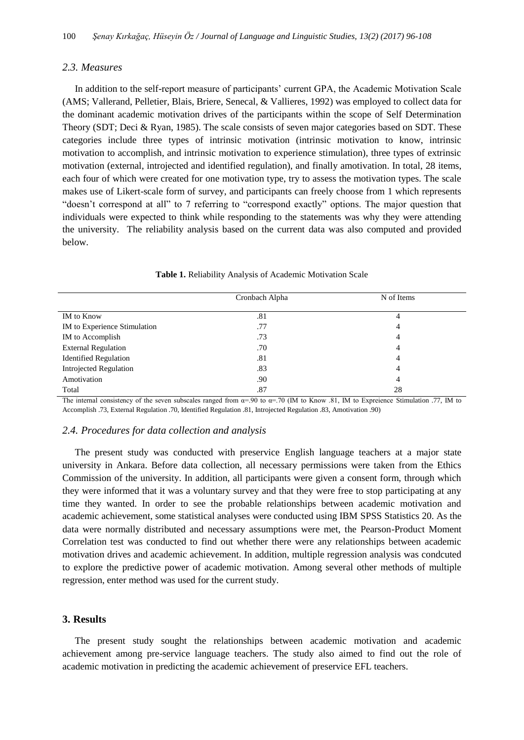#### *2.3. Measures*

In addition to the self-report measure of participants' current GPA, the Academic Motivation Scale (AMS; Vallerand, Pelletier, Blais, Briere, Senecal, & Vallieres, 1992) was employed to collect data for the dominant academic motivation drives of the participants within the scope of Self Determination Theory (SDT; Deci & Ryan, 1985). The scale consists of seven major categories based on SDT. These categories include three types of intrinsic motivation (intrinsic motivation to know, intrinsic motivation to accomplish, and intrinsic motivation to experience stimulation), three types of extrinsic motivation (external, introjected and identified regulation), and finally amotivation. In total, 28 items, each four of which were created for one motivation type, try to assess the motivation types. The scale makes use of Likert-scale form of survey, and participants can freely choose from 1 which represents "doesn't correspond at all" to 7 referring to "correspond exactly" options. The major question that individuals were expected to think while responding to the statements was why they were attending the university. The reliability analysis based on the current data was also computed and provided below.

|                               | Cronbach Alpha | N of Items     |  |
|-------------------------------|----------------|----------------|--|
| IM to Know                    | .81            | 4              |  |
| IM to Experience Stimulation  | .77            | 4              |  |
| IM to Accomplish              | .73            | 4              |  |
| <b>External Regulation</b>    | .70            | 4              |  |
| <b>Identified Regulation</b>  | .81            | $\overline{4}$ |  |
| <b>Introjected Regulation</b> | .83            | $\overline{4}$ |  |
| Amotivation                   | .90            | $\overline{4}$ |  |
| Total                         | .87            | 28             |  |

**Table 1.** Reliability Analysis of Academic Motivation Scale

The internal consistency of the seven subscales ranged from  $\alpha = .90$  to  $\alpha = .70$  (IM to Know .81, IM to Expreience Stimulation .77, IM to Accomplish .73, External Regulation .70, Identified Regulation .81, Introjected Regulation .83, Amotivation .90)

#### *2.4. Procedures for data collection and analysis*

The present study was conducted with preservice English language teachers at a major state university in Ankara. Before data collection, all necessary permissions were taken from the Ethics Commission of the university. In addition, all participants were given a consent form, through which they were informed that it was a voluntary survey and that they were free to stop participating at any time they wanted. In order to see the probable relationships between academic motivation and academic achievement, some statistical analyses were conducted using IBM SPSS Statistics 20. As the data were normally distributed and necessary assumptions were met, the Pearson-Product Moment Correlation test was conducted to find out whether there were any relationships between academic motivation drives and academic achievement. In addition, multiple regression analysis was condcuted to explore the predictive power of academic motivation. Among several other methods of multiple regression, enter method was used for the current study.

#### **3. Results**

The present study sought the relationships between academic motivation and academic achievement among pre-service language teachers. The study also aimed to find out the role of academic motivation in predicting the academic achievement of preservice EFL teachers.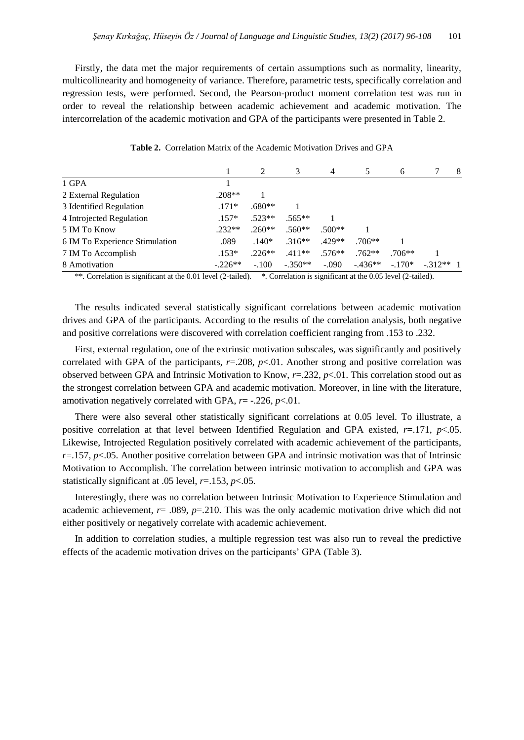Firstly, the data met the major requirements of certain assumptions such as normality, linearity, multicollinearity and homogeneity of variance. Therefore, parametric tests, specifically correlation and regression tests, were performed. Second, the Pearson-product moment correlation test was run in order to reveal the relationship between academic achievement and academic motivation. The intercorrelation of the academic motivation and GPA of the participants were presented in Table 2.

|                                |           |          |           | 4        |          | 6        |            | 8 |
|--------------------------------|-----------|----------|-----------|----------|----------|----------|------------|---|
| 1 GPA                          |           |          |           |          |          |          |            |   |
| 2 External Regulation          | $.208**$  |          |           |          |          |          |            |   |
| 3 Identified Regulation        | $.171*$   | $.680**$ |           |          |          |          |            |   |
| 4 Introjected Regulation       | $.157*$   | $.523**$ | $.565**$  |          |          |          |            |   |
| 5 IM To Know                   | $.232**$  | $.260**$ | $.560**$  | $.500**$ |          |          |            |   |
| 6 IM To Experience Stimulation | .089      | $.140*$  | $.316**$  | $.429**$ | $.706**$ |          |            |   |
| 7 IM To Accomplish             | $.153*$   | $.226**$ | $.411**$  | $.576**$ | $.762**$ | $.706**$ |            |   |
| 8 Amotivation                  | $-.226**$ | $-.100$  | $-.350**$ | $-.090$  | $-436**$ | $-.170*$ | $-312**$ 1 |   |

**Table 2.** Correlation Matrix of the Academic Motivation Drives and GPA

\*\*. Correlation is significant at the 0.01 level (2-tailed). \*. Correlation is significant at the 0.05 level (2-tailed).

The results indicated several statistically significant correlations between academic motivation drives and GPA of the participants. According to the results of the correlation analysis, both negative and positive correlations were discovered with correlation coefficient ranging from .153 to .232.

First, external regulation, one of the extrinsic motivation subscales, was significantly and positively correlated with GPA of the participants,  $r=0.208$ ,  $p<0.01$ . Another strong and positive correlation was observed between GPA and Intrinsic Motivation to Know, *r*=.232, *p*<.01. This correlation stood out as the strongest correlation between GPA and academic motivation. Moreover, in line with the literature, amotivation negatively correlated with GPA, *r*= -.226, *p*<.01.

There were also several other statistically significant correlations at 0.05 level. To illustrate, a positive correlation at that level between Identified Regulation and GPA existed, *r*=.171, *p*<.05. Likewise, Introjected Regulation positively correlated with academic achievement of the participants, *r*=.157, *p*<.05. Another positive correlation between GPA and intrinsic motivation was that of Intrinsic Motivation to Accomplish. The correlation between intrinsic motivation to accomplish and GPA was statistically significant at .05 level, *r*=.153, *p*<.05.

Interestingly, there was no correlation between Intrinsic Motivation to Experience Stimulation and academic achievement, *r*= .089, *p*=.210. This was the only academic motivation drive which did not either positively or negatively correlate with academic achievement.

In addition to correlation studies, a multiple regression test was also run to reveal the predictive effects of the academic motivation drives on the participants' GPA (Table 3).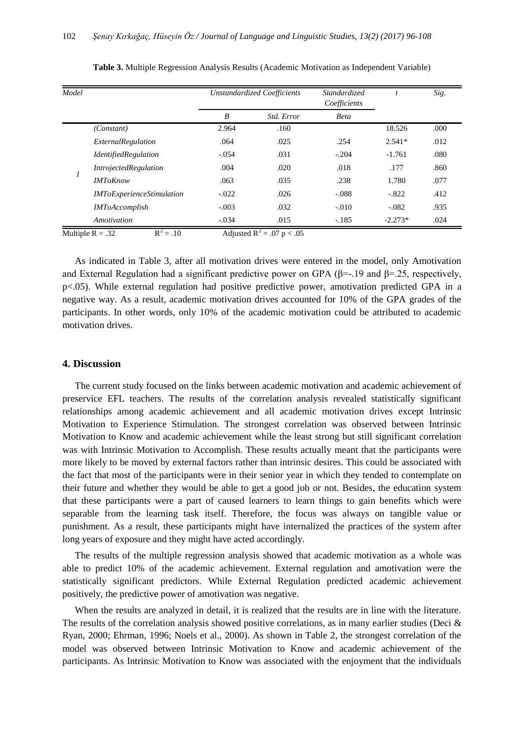| Model |                                  | <b>Unstandardized Coefficients</b> |            | Standardized<br>Coefficients | $\boldsymbol{t}$ | Sig. |
|-------|----------------------------------|------------------------------------|------------|------------------------------|------------------|------|
|       |                                  | B                                  | Std. Error | <b>Beta</b>                  |                  |      |
| 1     | (Constant)                       | 2.964                              | .160       |                              | 18.526           | .000 |
|       | ExternalRegulation               | .064                               | .025       | .254                         | $2.541*$         | .012 |
|       | <i>IdentifiedRegulation</i>      | $-.054$                            | .031       | $-.204$                      | $-1.761$         | .080 |
|       | <i>IntrojectedRegulation</i>     | .004                               | .020       | .018                         | .177             | .860 |
|       | <b>IMToKnow</b>                  | .063                               | .035       | .238                         | 1.780            | .077 |
|       | <b>IMToExperienceStimulation</b> | $-.022$                            | .026       | $-.088$                      | $-.822$          | .412 |
|       | <i><b>IMToAccomplish</b></i>     | $-.003$                            | .032       | $-.010$                      | $-.082$          | .935 |
|       | Amotivation                      | $-.034$                            | .015       | $-.185$                      | $-2.273*$        | .024 |

**Table 3.** Multiple Regression Analysis Results (Academic Motivation as Independent Variable)

Multiple R = .32  $R^2 = .10$  $= .10$  Adjusted R<sup>2</sup> = .07 p < .05

As indicated in Table 3, after all motivation drives were entered in the model, only Amotivation and External Regulation had a significant predictive power on GPA ( $\beta$ =-.19 and  $\beta$ =.25, respectively, p<.05). While external regulation had positive predictive power, amotivation predicted GPA in a negative way. As a result, academic motivation drives accounted for 10% of the GPA grades of the participants. In other words, only 10% of the academic motivation could be attributed to academic motivation drives.

#### **4. Discussion**

The current study focused on the links between academic motivation and academic achievement of preservice EFL teachers. The results of the correlation analysis revealed statistically significant relationships among academic achievement and all academic motivation drives except Intrinsic Motivation to Experience Stimulation. The strongest correlation was observed between Intrinsic Motivation to Know and academic achievement while the least strong but still significant correlation was with Intrinsic Motivation to Accomplish. These results actually meant that the participants were more likely to be moved by external factors rather than intrinsic desires. This could be associated with the fact that most of the participants were in their senior year in which they tended to contemplate on their future and whether they would be able to get a good job or not. Besides, the education system that these participants were a part of caused learners to learn things to gain benefits which were separable from the learning task itself. Therefore, the focus was always on tangible value or punishment. As a result, these participants might have internalized the practices of the system after long years of exposure and they might have acted accordingly.

The results of the multiple regression analysis showed that academic motivation as a whole was able to predict 10% of the academic achievement. External regulation and amotivation were the statistically significant predictors. While External Regulation predicted academic achievement positively, the predictive power of amotivation was negative.

When the results are analyzed in detail, it is realized that the results are in line with the literature. The results of the correlation analysis showed positive correlations, as in many earlier studies (Deci & Ryan, 2000; Ehrman, 1996; Noels et al., 2000). As shown in Table 2, the strongest correlation of the model was observed between Intrinsic Motivation to Know and academic achievement of the participants. As Intrinsic Motivation to Know was associated with the enjoyment that the individuals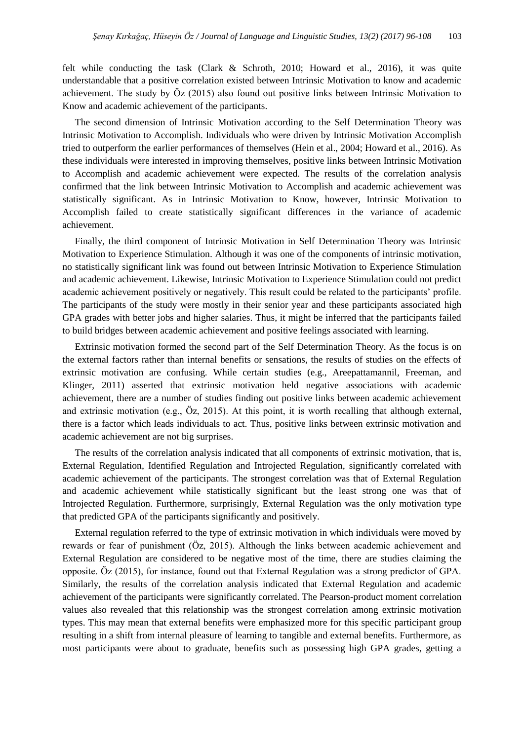felt while conducting the task (Clark & Schroth, 2010; Howard et al., 2016), it was quite understandable that a positive correlation existed between Intrinsic Motivation to know and academic achievement. The study by Öz (2015) also found out positive links between Intrinsic Motivation to Know and academic achievement of the participants.

The second dimension of Intrinsic Motivation according to the Self Determination Theory was Intrinsic Motivation to Accomplish. Individuals who were driven by Intrinsic Motivation Accomplish tried to outperform the earlier performances of themselves (Hein et al., 2004; Howard et al., 2016). As these individuals were interested in improving themselves, positive links between Intrinsic Motivation to Accomplish and academic achievement were expected. The results of the correlation analysis confirmed that the link between Intrinsic Motivation to Accomplish and academic achievement was statistically significant. As in Intrinsic Motivation to Know, however, Intrinsic Motivation to Accomplish failed to create statistically significant differences in the variance of academic achievement.

Finally, the third component of Intrinsic Motivation in Self Determination Theory was Intrinsic Motivation to Experience Stimulation. Although it was one of the components of intrinsic motivation, no statistically significant link was found out between Intrinsic Motivation to Experience Stimulation and academic achievement. Likewise, Intrinsic Motivation to Experience Stimulation could not predict academic achievement positively or negatively. This result could be related to the participants' profile. The participants of the study were mostly in their senior year and these participants associated high GPA grades with better jobs and higher salaries. Thus, it might be inferred that the participants failed to build bridges between academic achievement and positive feelings associated with learning.

Extrinsic motivation formed the second part of the Self Determination Theory. As the focus is on the external factors rather than internal benefits or sensations, the results of studies on the effects of extrinsic motivation are confusing. While certain studies (e.g., Areepattamannil, Freeman, and Klinger, 2011) asserted that extrinsic motivation held negative associations with academic achievement, there are a number of studies finding out positive links between academic achievement and extrinsic motivation (e.g., Öz, 2015). At this point, it is worth recalling that although external, there is a factor which leads individuals to act. Thus, positive links between extrinsic motivation and academic achievement are not big surprises.

The results of the correlation analysis indicated that all components of extrinsic motivation, that is, External Regulation, Identified Regulation and Introjected Regulation, significantly correlated with academic achievement of the participants. The strongest correlation was that of External Regulation and academic achievement while statistically significant but the least strong one was that of Introjected Regulation. Furthermore, surprisingly, External Regulation was the only motivation type that predicted GPA of the participants significantly and positively.

External regulation referred to the type of extrinsic motivation in which individuals were moved by rewards or fear of punishment (Öz, 2015). Although the links between academic achievement and External Regulation are considered to be negative most of the time, there are studies claiming the opposite. Öz (2015), for instance, found out that External Regulation was a strong predictor of GPA. Similarly, the results of the correlation analysis indicated that External Regulation and academic achievement of the participants were significantly correlated. The Pearson-product moment correlation values also revealed that this relationship was the strongest correlation among extrinsic motivation types. This may mean that external benefits were emphasized more for this specific participant group resulting in a shift from internal pleasure of learning to tangible and external benefits. Furthermore, as most participants were about to graduate, benefits such as possessing high GPA grades, getting a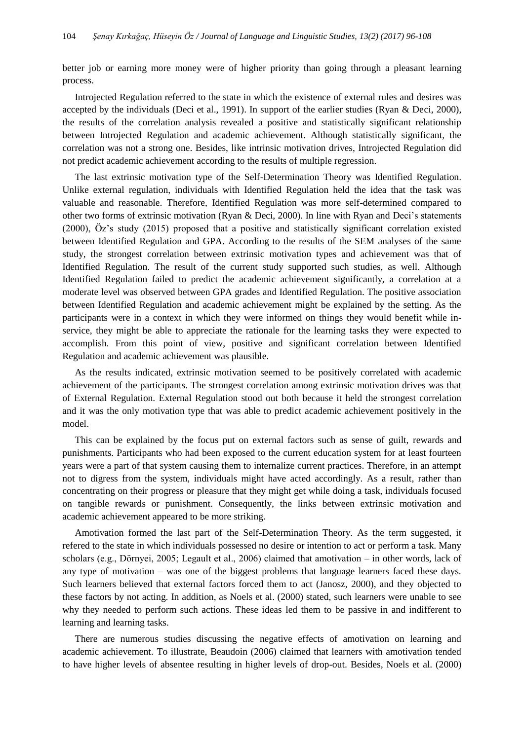better job or earning more money were of higher priority than going through a pleasant learning process.

Introjected Regulation referred to the state in which the existence of external rules and desires was accepted by the individuals (Deci et al., 1991). In support of the earlier studies (Ryan & Deci, 2000), the results of the correlation analysis revealed a positive and statistically significant relationship between Introjected Regulation and academic achievement. Although statistically significant, the correlation was not a strong one. Besides, like intrinsic motivation drives, Introjected Regulation did not predict academic achievement according to the results of multiple regression.

The last extrinsic motivation type of the Self-Determination Theory was Identified Regulation. Unlike external regulation, individuals with Identified Regulation held the idea that the task was valuable and reasonable. Therefore, Identified Regulation was more self-determined compared to other two forms of extrinsic motivation (Ryan & Deci, 2000). In line with Ryan and Deci's statements (2000), Öz's study (2015) proposed that a positive and statistically significant correlation existed between Identified Regulation and GPA. According to the results of the SEM analyses of the same study, the strongest correlation between extrinsic motivation types and achievement was that of Identified Regulation. The result of the current study supported such studies, as well. Although Identified Regulation failed to predict the academic achievement significantly, a correlation at a moderate level was observed between GPA grades and Identified Regulation. The positive association between Identified Regulation and academic achievement might be explained by the setting. As the participants were in a context in which they were informed on things they would benefit while inservice, they might be able to appreciate the rationale for the learning tasks they were expected to accomplish. From this point of view, positive and significant correlation between Identified Regulation and academic achievement was plausible.

As the results indicated, extrinsic motivation seemed to be positively correlated with academic achievement of the participants. The strongest correlation among extrinsic motivation drives was that of External Regulation. External Regulation stood out both because it held the strongest correlation and it was the only motivation type that was able to predict academic achievement positively in the model.

This can be explained by the focus put on external factors such as sense of guilt, rewards and punishments. Participants who had been exposed to the current education system for at least fourteen years were a part of that system causing them to internalize current practices. Therefore, in an attempt not to digress from the system, individuals might have acted accordingly. As a result, rather than concentrating on their progress or pleasure that they might get while doing a task, individuals focused on tangible rewards or punishment. Consequently, the links between extrinsic motivation and academic achievement appeared to be more striking.

Amotivation formed the last part of the Self-Determination Theory. As the term suggested, it refered to the state in which individuals possessed no desire or intention to act or perform a task. Many scholars (e.g., Dörnyei, 2005; Legault et al., 2006) claimed that amotivation – in other words, lack of any type of motivation – was one of the biggest problems that language learners faced these days. Such learners believed that external factors forced them to act (Janosz, 2000), and they objected to these factors by not acting. In addition, as Noels et al. (2000) stated, such learners were unable to see why they needed to perform such actions. These ideas led them to be passive in and indifferent to learning and learning tasks.

There are numerous studies discussing the negative effects of amotivation on learning and academic achievement. To illustrate, Beaudoin (2006) claimed that learners with amotivation tended to have higher levels of absentee resulting in higher levels of drop-out. Besides, Noels et al. (2000)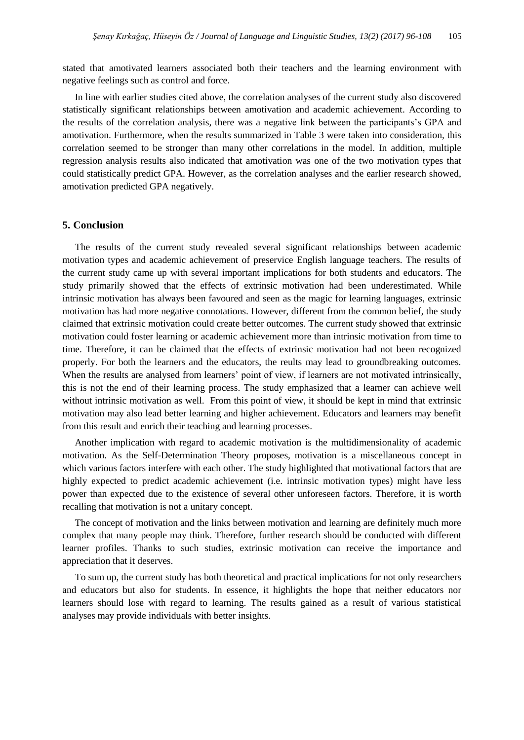stated that amotivated learners associated both their teachers and the learning environment with negative feelings such as control and force.

In line with earlier studies cited above, the correlation analyses of the current study also discovered statistically significant relationships between amotivation and academic achievement. According to the results of the correlation analysis, there was a negative link between the participants's GPA and amotivation. Furthermore, when the results summarized in Table 3 were taken into consideration, this correlation seemed to be stronger than many other correlations in the model. In addition, multiple regression analysis results also indicated that amotivation was one of the two motivation types that could statistically predict GPA. However, as the correlation analyses and the earlier research showed, amotivation predicted GPA negatively.

#### **5. Conclusion**

The results of the current study revealed several significant relationships between academic motivation types and academic achievement of preservice English language teachers. The results of the current study came up with several important implications for both students and educators. The study primarily showed that the effects of extrinsic motivation had been underestimated. While intrinsic motivation has always been favoured and seen as the magic for learning languages, extrinsic motivation has had more negative connotations. However, different from the common belief, the study claimed that extrinsic motivation could create better outcomes. The current study showed that extrinsic motivation could foster learning or academic achievement more than intrinsic motivation from time to time. Therefore, it can be claimed that the effects of extrinsic motivation had not been recognized properly. For both the learners and the educators, the reults may lead to groundbreaking outcomes. When the results are analysed from learners' point of view, if learners are not motivated intrinsically, this is not the end of their learning process. The study emphasized that a learner can achieve well without intrinsic motivation as well. From this point of view, it should be kept in mind that extrinsic motivation may also lead better learning and higher achievement. Educators and learners may benefit from this result and enrich their teaching and learning processes.

Another implication with regard to academic motivation is the multidimensionality of academic motivation. As the Self-Determination Theory proposes, motivation is a miscellaneous concept in which various factors interfere with each other. The study highlighted that motivational factors that are highly expected to predict academic achievement (i.e. intrinsic motivation types) might have less power than expected due to the existence of several other unforeseen factors. Therefore, it is worth recalling that motivation is not a unitary concept.

The concept of motivation and the links between motivation and learning are definitely much more complex that many people may think. Therefore, further research should be conducted with different learner profiles. Thanks to such studies, extrinsic motivation can receive the importance and appreciation that it deserves.

To sum up, the current study has both theoretical and practical implications for not only researchers and educators but also for students. In essence, it highlights the hope that neither educators nor learners should lose with regard to learning. The results gained as a result of various statistical analyses may provide individuals with better insights.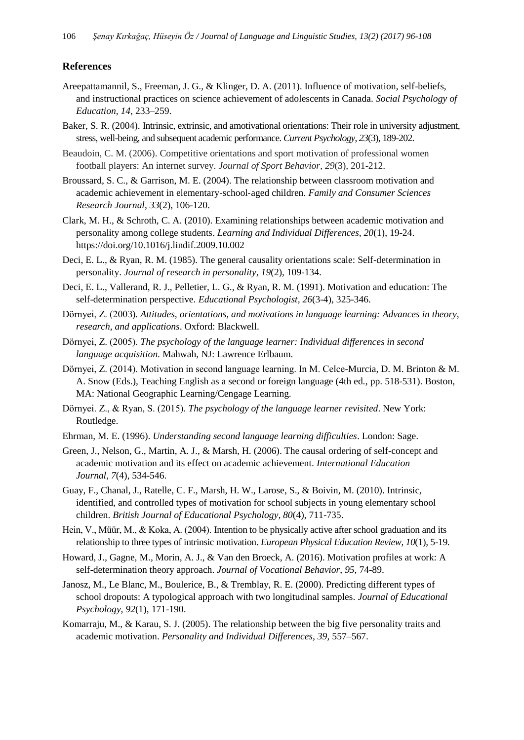#### **References**

- Areepattamannil, S., Freeman, J. G., & Klinger, D. A. (2011). Influence of motivation, self-beliefs, and instructional practices on science achievement of adolescents in Canada. *Social Psychology of Education, 14*, 233–259.
- Baker, S. R. (2004). Intrinsic, extrinsic, and amotivational orientations: Their role in university adjustment, stress, well-being, and subsequent academic performance. *Current Psychology*, *23*(3), 189-202.
- Beaudoin, C. M. (2006). Competitive orientations and sport motivation of professional women football players: An internet survey. *Journal of Sport Behavior*, *29*(3), 201-212.
- Broussard, S. C., & Garrison, M. E. (2004). The relationship between classroom motivation and academic achievement in elementary‐school‐aged children. *Family and Consumer Sciences Research Journal*, *33*(2), 106-120.
- Clark, M. H., & Schroth, C. A. (2010). Examining relationships between academic motivation and personality among college students. *Learning and Individual Differences, 20*(1), 19-24. https://doi.org/10.1016/j.lindif.2009.10.002
- Deci, E. L., & Ryan, R. M. (1985). The general causality orientations scale: Self-determination in personality. *Journal of research in personality*, *19*(2), 109-134.
- Deci, E. L., Vallerand, R. J., Pelletier, L. G., & Ryan, R. M. (1991). Motivation and education: The self-determination perspective. *Educational Psychologist, 26*(3-4), 325-346.
- Dörnyei, Z. (2003). *Attitudes, orientations, and motivations in language learning: Advances in theory, research, and applications*. Oxford: Blackwell.
- Dörnyei, Z. (2005). *The psychology of the language learner: Individual differences in second language acquisition*. Mahwah, NJ: Lawrence Erlbaum.
- Dörnyei, Z. (2014). Motivation in second language learning. In M. Celce-Murcia, D. M. Brinton & M. A. Snow (Eds.), Teaching English as a second or foreign language (4th ed., pp. 518-531). Boston, MA: National Geographic Learning/Cengage Learning.
- Dörnyei. Z., & Ryan, S. (2015). *The psychology of the language learner revisited*. New York: Routledge.
- Ehrman, M. E. (1996). *Understanding second language learning difficulties*. London: Sage.
- Green, J., Nelson, G., Martin, A. J., & Marsh, H. (2006). The causal ordering of self-concept and academic motivation and its effect on academic achievement. *International Education Journal*, *7*(4), 534-546.
- Guay, F., Chanal, J., Ratelle, C. F., Marsh, H. W., Larose, S., & Boivin, M. (2010). Intrinsic, identified, and controlled types of motivation for school subjects in young elementary school children. *British Journal of Educational Psychology, 80*(4), 711-735.
- Hein, V., Müür, M., & Koka, A. (2004). Intention to be physically active after school graduation and its relationship to three types of intrinsic motivation. *European Physical Education Review*, *10*(1), 5-19.
- Howard, J., Gagne, M., Morin, A. J., & Van den Broeck, A. (2016). Motivation profiles at work: A self-determination theory approach. *Journal of Vocational Behavior*, *95*, 74-89.
- Janosz, M., Le Blanc, M., Boulerice, B., & Tremblay, R. E. (2000). Predicting different types of school dropouts: A typological approach with two longitudinal samples. *Journal of Educational Psychology*, *92*(1), 171-190.
- Komarraju, M., & Karau, S. J. (2005). The relationship between the big five personality traits and academic motivation. *Personality and Individual Differences, 39,* 557–567.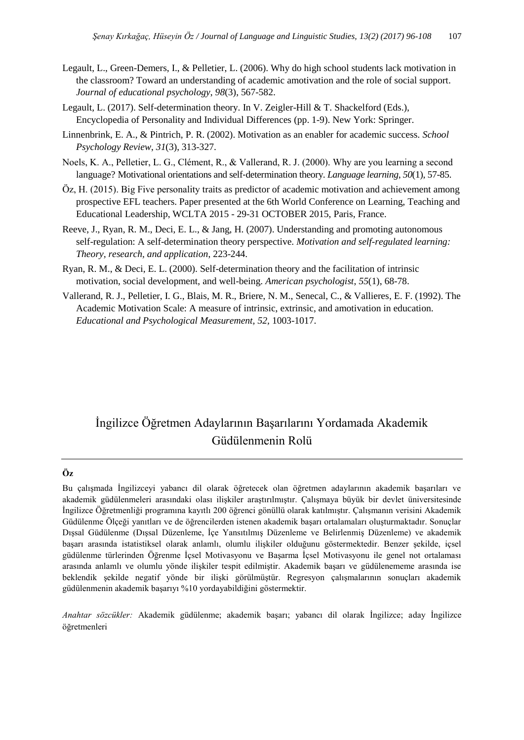- Legault, L., Green-Demers, I., & Pelletier, L. (2006). Why do high school students lack motivation in the classroom? Toward an understanding of academic amotivation and the role of social support. *Journal of educational psychology*, *98*(3), 567-582.
- Legault, L. (2017). Self-determination theory. In V. Zeigler-Hill & T. Shackelford (Eds.), Encyclopedia of Personality and Individual Differences (pp. 1-9). New York: Springer.
- Linnenbrink, E. A., & Pintrich, P. R. (2002). Motivation as an enabler for academic success. *School Psychology Review*, *31*(3), 313-327.
- Noels, K. A., Pelletier, L. G., Clément, R., & Vallerand, R. J. (2000). Why are you learning a second language? Motivational orientations and self‐determination theory. *Language learning*, *50*(1), 57-85.
- Öz, H. (2015). Big Five personality traits as predictor of academic motivation and achievement among prospective EFL teachers. Paper presented at the 6th World Conference on Learning, Teaching and Educational Leadership, WCLTA 2015 - 29-31 OCTOBER 2015, Paris, France.
- Reeve, J., Ryan, R. M., Deci, E. L., & Jang, H. (2007). Understanding and promoting autonomous self-regulation: A self-determination theory perspective. *Motivation and self-regulated learning: Theory, research, and application*, 223-244.
- Ryan, R. M., & Deci, E. L. (2000). Self-determination theory and the facilitation of intrinsic motivation, social development, and well-being. *American psychologist*, *55*(1), 68-78.
- Vallerand, R. J., Pelletier, I. G., Blais, M. R., Briere, N. M., Senecal, C., & Vallieres, E. F. (1992). The Academic Motivation Scale: A measure of intrinsic, extrinsic, and amotivation in education. *Educational and Psychological Measurement, 52,* 1003-1017.

## İngilizce Öğretmen Adaylarının Başarılarını Yordamada Akademik Güdülenmenin Rolü

#### **Öz**

Bu çalışmada İngilizceyi yabancı dil olarak öğretecek olan öğretmen adaylarının akademik başarıları ve akademik güdülenmeleri arasındaki olası ilişkiler araştırılmıştır. Çalışmaya büyük bir devlet üniversitesinde İngilizce Öğretmenliği programına kayıtlı 200 öğrenci gönüllü olarak katılmıştır. Çalışmanın verisini Akademik Güdülenme Ölçeği yanıtları ve de öğrencilerden istenen akademik başarı ortalamaları oluşturmaktadır. Sonuçlar Dışsal Güdülenme (Dışsal Düzenleme, İçe Yansıtılmış Düzenleme ve Belirlenmiş Düzenleme) ve akademik başarı arasında istatistiksel olarak anlamlı, olumlu ilişkiler olduğunu göstermektedir. Benzer şekilde, içsel güdülenme türlerinden Öğrenme İçsel Motivasyonu ve Başarma İçsel Motivasyonu ile genel not ortalaması arasında anlamlı ve olumlu yönde ilişkiler tespit edilmiştir. Akademik başarı ve güdülenememe arasında ise beklendik şekilde negatif yönde bir ilişki görülmüştür. Regresyon çalışmalarının sonuçları akademik güdülenmenin akademik başarıyı %10 yordayabildiğini göstermektir.

*Anahtar sözcükler:* Akademik güdülenme; akademik başarı; yabancı dil olarak İngilizce; aday İngilizce öğretmenleri